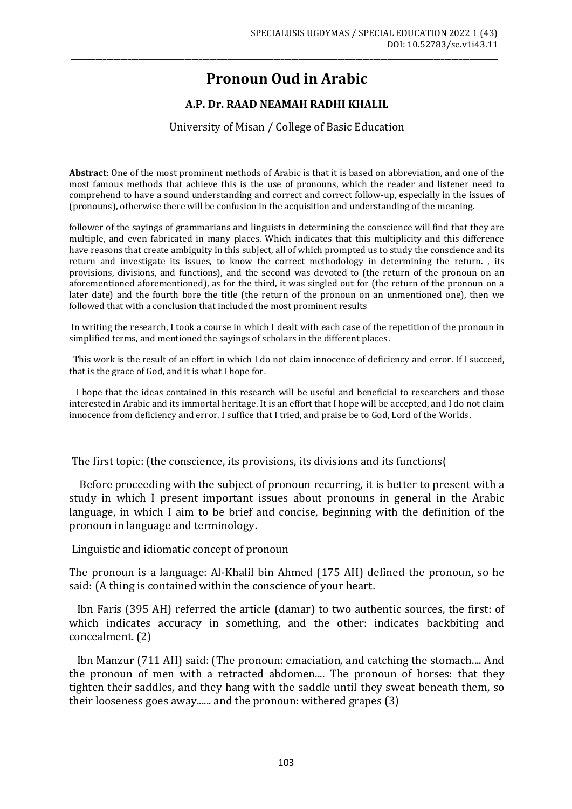# **Pronoun Oud in Arabic**

\_\_\_\_\_\_\_\_\_\_\_\_\_\_\_\_\_\_\_\_\_\_\_\_\_\_\_\_\_\_\_\_\_\_\_\_\_\_\_\_\_\_\_\_\_\_\_\_\_\_\_\_\_\_\_\_\_\_\_\_\_\_\_\_\_\_\_\_\_\_\_\_\_\_\_\_\_\_\_\_\_\_\_\_\_\_\_\_\_\_\_\_\_\_\_\_\_\_\_\_\_\_\_\_\_\_\_\_\_\_\_\_\_\_\_\_\_\_\_\_

# **A.P. Dr. RAAD NEAMAH RADHI KHALIL**

#### University of Misan / College of Basic Education

**Abstract**: One of the most prominent methods of Arabic is that it is based on abbreviation, and one of the most famous methods that achieve this is the use of pronouns, which the reader and listener need to comprehend to have a sound understanding and correct and correct follow-up, especially in the issues of (pronouns), otherwise there will be confusion in the acquisition and understanding of the meaning.

follower of the sayings of grammarians and linguists in determining the conscience will find that they are multiple, and even fabricated in many places. Which indicates that this multiplicity and this difference have reasons that create ambiguity in this subject, all of which prompted us to study the conscience and its return and investigate its issues, to know the correct methodology in determining the return. , its provisions, divisions, and functions), and the second was devoted to (the return of the pronoun on an aforementioned aforementioned), as for the third, it was singled out for (the return of the pronoun on a later date) and the fourth bore the title (the return of the pronoun on an unmentioned one), then we followed that with a conclusion that included the most prominent results

In writing the research, I took a course in which I dealt with each case of the repetition of the pronoun in simplified terms, and mentioned the sayings of scholars in the different places.

 This work is the result of an effort in which I do not claim innocence of deficiency and error. If I succeed, that is the grace of God, and it is what I hope for.

 I hope that the ideas contained in this research will be useful and beneficial to researchers and those interested in Arabic and its immortal heritage. It is an effort that I hope will be accepted, and I do not claim innocence from deficiency and error. I suffice that I tried, and praise be to God, Lord of the Worlds.

The first topic: (the conscience, its provisions, its divisions and its functions)

 Before proceeding with the subject of pronoun recurring, it is better to present with a study in which I present important issues about pronouns in general in the Arabic language, in which I aim to be brief and concise, beginning with the definition of the pronoun in language and terminology.

Linguistic and idiomatic concept of pronoun

The pronoun is a language: Al-Khalil bin Ahmed (175 AH) defined the pronoun, so he said: (A thing is contained within the conscience of your heart.

 Ibn Faris (395 AH) referred the article (damar) to two authentic sources, the first: of which indicates accuracy in something, and the other: indicates backbiting and concealment. (2)

 Ibn Manzur (711 AH) said: (The pronoun: emaciation, and catching the stomach.... And the pronoun of men with a retracted abdomen.... The pronoun of horses: that they tighten their saddles, and they hang with the saddle until they sweat beneath them, so their looseness goes away...... and the pronoun: withered grapes  $(3)$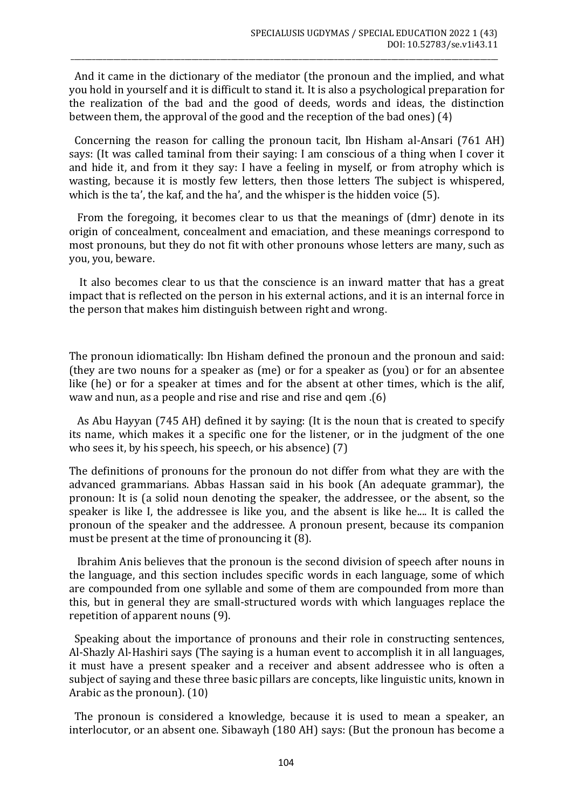And it came in the dictionary of the mediator (the pronoun and the implied, and what you hold in yourself and it is difficult to stand it. It is also a psychological preparation for the realization of the bad and the good of deeds, words and ideas, the distinction between them, the approval of the good and the reception of the bad ones)  $(4)$ 

\_\_\_\_\_\_\_\_\_\_\_\_\_\_\_\_\_\_\_\_\_\_\_\_\_\_\_\_\_\_\_\_\_\_\_\_\_\_\_\_\_\_\_\_\_\_\_\_\_\_\_\_\_\_\_\_\_\_\_\_\_\_\_\_\_\_\_\_\_\_\_\_\_\_\_\_\_\_\_\_\_\_\_\_\_\_\_\_\_\_\_\_\_\_\_\_\_\_\_\_\_\_\_\_\_\_\_\_\_\_\_\_\_\_\_\_\_\_\_\_

 Concerning the reason for calling the pronoun tacit, Ibn Hisham al-Ansari (761 AH) says: (It was called taminal from their saying: I am conscious of a thing when I cover it and hide it, and from it they say: I have a feeling in myself, or from atrophy which is wasting, because it is mostly few letters, then those letters The subject is whispered, which is the ta', the kaf, and the ha', and the whisper is the hidden voice (5).

 From the foregoing, it becomes clear to us that the meanings of (dmr) denote in its origin of concealment, concealment and emaciation, and these meanings correspond to most pronouns, but they do not fit with other pronouns whose letters are many, such as you, you, beware.

 It also becomes clear to us that the conscience is an inward matter that has a great impact that is reflected on the person in his external actions, and it is an internal force in the person that makes him distinguish between right and wrong.

The pronoun idiomatically: Ibn Hisham defined the pronoun and the pronoun and said: (they are two nouns for a speaker as (me) or for a speaker as (you) or for an absentee like (he) or for a speaker at times and for the absent at other times, which is the alif, waw and nun, as a people and rise and rise and rise and qem  $(6)$ 

 As Abu Hayyan (745 AH) defined it by saying: (It is the noun that is created to specify its name, which makes it a specific one for the listener, or in the judgment of the one who sees it, by his speech, his speech, or his absence) (7)

The definitions of pronouns for the pronoun do not differ from what they are with the advanced grammarians. Abbas Hassan said in his book (An adequate grammar), the pronoun: It is (a solid noun denoting the speaker, the addressee, or the absent, so the speaker is like I, the addressee is like you, and the absent is like he.... It is called the pronoun of the speaker and the addressee. A pronoun present, because its companion must be present at the time of pronouncing it (8).

 Ibrahim Anis believes that the pronoun is the second division of speech after nouns in the language, and this section includes specific words in each language, some of which are compounded from one syllable and some of them are compounded from more than this, but in general they are small-structured words with which languages replace the repetition of apparent nouns (9).

 Speaking about the importance of pronouns and their role in constructing sentences, Al-Shazly Al-Hashiri says (The saying is a human event to accomplish it in all languages, it must have a present speaker and a receiver and absent addressee who is often a subject of saying and these three basic pillars are concepts, like linguistic units, known in Arabic as the pronoun).  $(10)$ 

 The pronoun is considered a knowledge, because it is used to mean a speaker, an interlocutor, or an absent one. Sibawayh (180 AH) says: (But the pronoun has become a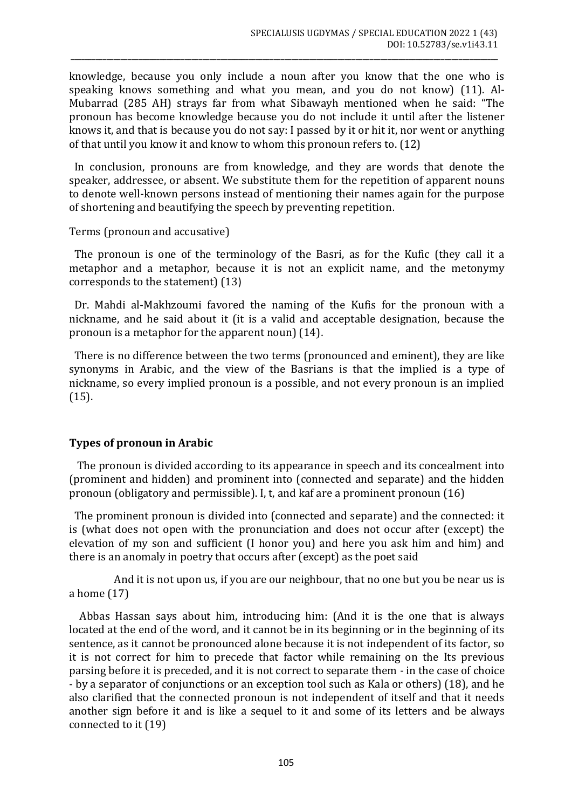knowledge, because you only include a noun after you know that the one who is speaking knows something and what you mean, and you do not know) (11). Al-Mubarrad (285 AH) strays far from what Sibawayh mentioned when he said: "The pronoun has become knowledge because you do not include it until after the listener knows it, and that is because you do not say: I passed by it or hit it, nor went or anything of that until you know it and know to whom this pronoun refers to. (12)

\_\_\_\_\_\_\_\_\_\_\_\_\_\_\_\_\_\_\_\_\_\_\_\_\_\_\_\_\_\_\_\_\_\_\_\_\_\_\_\_\_\_\_\_\_\_\_\_\_\_\_\_\_\_\_\_\_\_\_\_\_\_\_\_\_\_\_\_\_\_\_\_\_\_\_\_\_\_\_\_\_\_\_\_\_\_\_\_\_\_\_\_\_\_\_\_\_\_\_\_\_\_\_\_\_\_\_\_\_\_\_\_\_\_\_\_\_\_\_\_

 In conclusion, pronouns are from knowledge, and they are words that denote the speaker, addressee, or absent. We substitute them for the repetition of apparent nouns to denote well-known persons instead of mentioning their names again for the purpose of shortening and beautifying the speech by preventing repetition.

Terms (pronoun and accusative)

 The pronoun is one of the terminology of the Basri, as for the Kufic (they call it a metaphor and a metaphor, because it is not an explicit name, and the metonymy corresponds to the statement) (13)

 Dr. Mahdi al-Makhzoumi favored the naming of the Kufis for the pronoun with a nickname, and he said about it (it is a valid and acceptable designation, because the pronoun is a metaphor for the apparent noun) (14).

 There is no difference between the two terms (pronounced and eminent), they are like synonyms in Arabic, and the view of the Basrians is that the implied is a type of nickname, so every implied pronoun is a possible, and not every pronoun is an implied (15).

## **Types of pronoun in Arabic**

 The pronoun is divided according to its appearance in speech and its concealment into (prominent and hidden) and prominent into (connected and separate) and the hidden pronoun (obligatory and permissible). I, t, and kaf are a prominent pronoun (16)

 The prominent pronoun is divided into (connected and separate) and the connected: it is (what does not open with the pronunciation and does not occur after (except) the elevation of my son and sufficient (I honor you) and here you ask him and him) and there is an anomaly in poetry that occurs after (except) as the poet said

 And it is not upon us, if you are our neighbour, that no one but you be near us is a home (17)

 Abbas Hassan says about him, introducing him: (And it is the one that is always located at the end of the word, and it cannot be in its beginning or in the beginning of its sentence, as it cannot be pronounced alone because it is not independent of its factor, so it is not correct for him to precede that factor while remaining on the Its previous parsing before it is preceded, and it is not correct to separate them - in the case of choice - by a separator of conjunctions or an exception tool such as Kala or others) (18), and he also clarified that the connected pronoun is not independent of itself and that it needs another sign before it and is like a sequel to it and some of its letters and be always connected to it (19)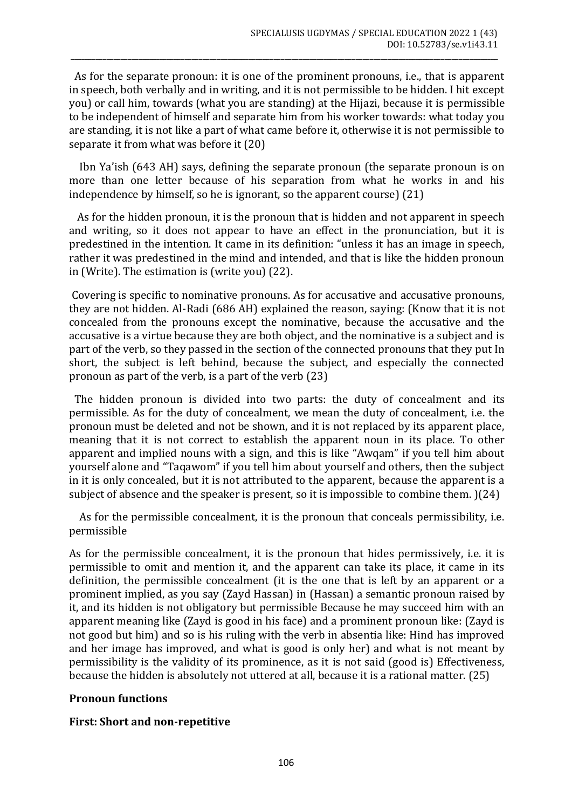As for the separate pronoun: it is one of the prominent pronouns, i.e., that is apparent in speech, both verbally and in writing, and it is not permissible to be hidden. I hit except you) or call him, towards (what you are standing) at the Hijazi, because it is permissible to be independent of himself and separate him from his worker towards: what today you are standing, it is not like a part of what came before it, otherwise it is not permissible to separate it from what was before it (20)

\_\_\_\_\_\_\_\_\_\_\_\_\_\_\_\_\_\_\_\_\_\_\_\_\_\_\_\_\_\_\_\_\_\_\_\_\_\_\_\_\_\_\_\_\_\_\_\_\_\_\_\_\_\_\_\_\_\_\_\_\_\_\_\_\_\_\_\_\_\_\_\_\_\_\_\_\_\_\_\_\_\_\_\_\_\_\_\_\_\_\_\_\_\_\_\_\_\_\_\_\_\_\_\_\_\_\_\_\_\_\_\_\_\_\_\_\_\_\_\_

 Ibn Ya'ish (643 AH) says, defining the separate pronoun (the separate pronoun is on more than one letter because of his separation from what he works in and his independence by himself, so he is ignorant, so the apparent course) (21)

 As for the hidden pronoun, it is the pronoun that is hidden and not apparent in speech and writing, so it does not appear to have an effect in the pronunciation, but it is predestined in the intention. It came in its definition: "unless it has an image in speech, rather it was predestined in the mind and intended, and that is like the hidden pronoun in (Write). The estimation is (write you) (22).

Covering is specific to nominative pronouns. As for accusative and accusative pronouns, they are not hidden. Al-Radi (686 AH) explained the reason, saying: (Know that it is not concealed from the pronouns except the nominative, because the accusative and the accusative is a virtue because they are both object, and the nominative is a subject and is part of the verb, so they passed in the section of the connected pronouns that they put In short, the subject is left behind, because the subject, and especially the connected pronoun as part of the verb, is a part of the verb (23)

 The hidden pronoun is divided into two parts: the duty of concealment and its permissible. As for the duty of concealment, we mean the duty of concealment, i.e. the pronoun must be deleted and not be shown, and it is not replaced by its apparent place, meaning that it is not correct to establish the apparent noun in its place. To other apparent and implied nouns with a sign, and this is like "Awqam" if you tell him about yourself alone and "Taqawom" if you tell him about yourself and others, then the subject in it is only concealed, but it is not attributed to the apparent, because the apparent is a subject of absence and the speaker is present, so it is impossible to combine them. )(24)

 As for the permissible concealment, it is the pronoun that conceals permissibility, i.e. permissible

As for the permissible concealment, it is the pronoun that hides permissively, i.e. it is permissible to omit and mention it, and the apparent can take its place, it came in its definition, the permissible concealment (it is the one that is left by an apparent or a prominent implied, as you say (Zayd Hassan) in (Hassan) a semantic pronoun raised by it, and its hidden is not obligatory but permissible Because he may succeed him with an apparent meaning like (Zayd is good in his face) and a prominent pronoun like: (Zayd is not good but him) and so is his ruling with the verb in absentia like: Hind has improved and her image has improved, and what is good is only her) and what is not meant by permissibility is the validity of its prominence, as it is not said (good is) Effectiveness, because the hidden is absolutely not uttered at all, because it is a rational matter. (25)

## **Pronoun functions**

## **First: Short and non-repetitive**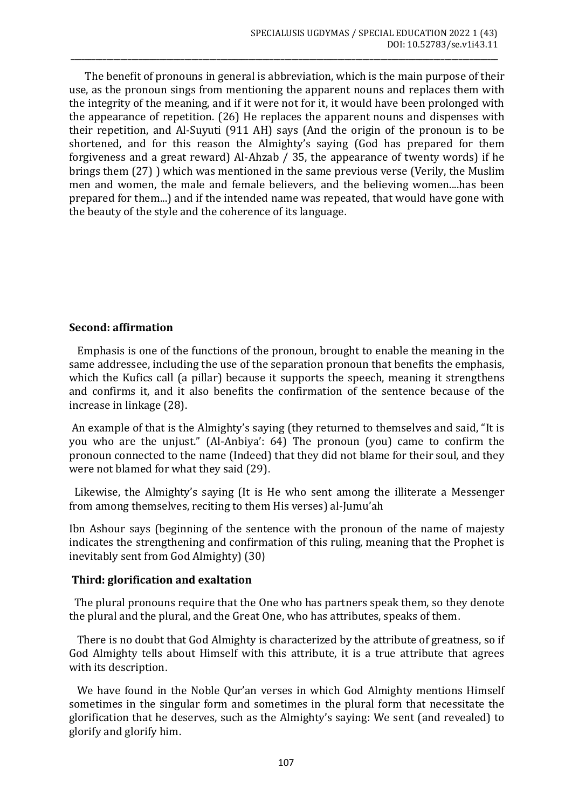The benefit of pronouns in general is abbreviation, which is the main purpose of their use, as the pronoun sings from mentioning the apparent nouns and replaces them with the integrity of the meaning, and if it were not for it, it would have been prolonged with the appearance of repetition. (26) He replaces the apparent nouns and dispenses with their repetition, and Al-Suyuti (911 AH) says (And the origin of the pronoun is to be shortened, and for this reason the Almighty's saying (God has prepared for them forgiveness and a great reward) Al-Ahzab / 35, the appearance of twenty words) if he brings them (27) ) which was mentioned in the same previous verse (Verily, the Muslim men and women, the male and female believers, and the believing women....has been prepared for them...) and if the intended name was repeated, that would have gone with the beauty of the style and the coherence of its language.

\_\_\_\_\_\_\_\_\_\_\_\_\_\_\_\_\_\_\_\_\_\_\_\_\_\_\_\_\_\_\_\_\_\_\_\_\_\_\_\_\_\_\_\_\_\_\_\_\_\_\_\_\_\_\_\_\_\_\_\_\_\_\_\_\_\_\_\_\_\_\_\_\_\_\_\_\_\_\_\_\_\_\_\_\_\_\_\_\_\_\_\_\_\_\_\_\_\_\_\_\_\_\_\_\_\_\_\_\_\_\_\_\_\_\_\_\_\_\_\_

## **Second: affirmation**

 Emphasis is one of the functions of the pronoun, brought to enable the meaning in the same addressee, including the use of the separation pronoun that benefits the emphasis, which the Kufics call (a pillar) because it supports the speech, meaning it strengthens and confirms it, and it also benefits the confirmation of the sentence because of the increase in linkage (28).

An example of that is the Almighty's saying (they returned to themselves and said, "It is you who are the unjust." (Al-Anbiya': 64) The pronoun (you) came to confirm the pronoun connected to the name (Indeed) that they did not blame for their soul, and they were not blamed for what they said (29).

 Likewise, the Almighty's saying (It is He who sent among the illiterate a Messenger from among themselves, reciting to them His verses) al-Jumu'ah

Ibn Ashour says (beginning of the sentence with the pronoun of the name of majesty indicates the strengthening and confirmation of this ruling, meaning that the Prophet is inevitably sent from God Almighty) (30)

#### **Third: glorification and exaltation**

 The plural pronouns require that the One who has partners speak them, so they denote the plural and the plural, and the Great One, who has attributes, speaks of them.

 There is no doubt that God Almighty is characterized by the attribute of greatness, so if God Almighty tells about Himself with this attribute, it is a true attribute that agrees with its description.

 We have found in the Noble Qur'an verses in which God Almighty mentions Himself sometimes in the singular form and sometimes in the plural form that necessitate the glorification that he deserves, such as the Almighty's saying: We sent (and revealed) to glorify and glorify him.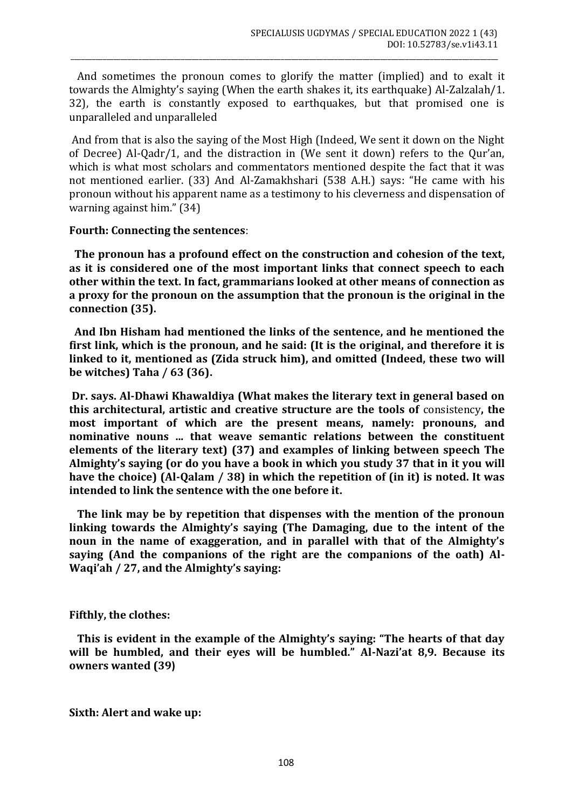And sometimes the pronoun comes to glorify the matter (implied) and to exalt it towards the Almighty's saying (When the earth shakes it, its earthquake) Al-Zalzalah/1. 32), the earth is constantly exposed to earthquakes, but that promised one is unparalleled and unparalleled

\_\_\_\_\_\_\_\_\_\_\_\_\_\_\_\_\_\_\_\_\_\_\_\_\_\_\_\_\_\_\_\_\_\_\_\_\_\_\_\_\_\_\_\_\_\_\_\_\_\_\_\_\_\_\_\_\_\_\_\_\_\_\_\_\_\_\_\_\_\_\_\_\_\_\_\_\_\_\_\_\_\_\_\_\_\_\_\_\_\_\_\_\_\_\_\_\_\_\_\_\_\_\_\_\_\_\_\_\_\_\_\_\_\_\_\_\_\_\_\_

And from that is also the saying of the Most High (Indeed, We sent it down on the Night of Decree) Al-Qadr/1, and the distraction in (We sent it down) refers to the Qur'an, which is what most scholars and commentators mentioned despite the fact that it was not mentioned earlier. (33) And Al-Zamakhshari (538 A.H.) says: "He came with his pronoun without his apparent name as a testimony to his cleverness and dispensation of warning against him." (34)

## **Fourth: Connecting the sentences**:

 **The pronoun has a profound effect on the construction and cohesion of the text, as it is considered one of the most important links that connect speech to each other within the text. In fact, grammarians looked at other means of connection as a proxy for the pronoun on the assumption that the pronoun is the original in the connection (35).**

 **And Ibn Hisham had mentioned the links of the sentence, and he mentioned the first link, which is the pronoun, and he said: (It is the original, and therefore it is linked to it, mentioned as (Zida struck him), and omitted (Indeed, these two will be witches) Taha / 63 (36).**

**Dr. says. Al-Dhawi Khawaldiya (What makes the literary text in general based on this architectural, artistic and creative structure are the tools of** consistency**, the most important of which are the present means, namely: pronouns, and nominative nouns ... that weave semantic relations between the constituent elements of the literary text) (37) and examples of linking between speech The Almighty's saying (or do you have a book in which you study 37 that in it you will have the choice) (Al-Qalam / 38) in which the repetition of (in it) is noted. It was intended to link the sentence with the one before it.**

 **The link may be by repetition that dispenses with the mention of the pronoun linking towards the Almighty's saying (The Damaging, due to the intent of the noun in the name of exaggeration, and in parallel with that of the Almighty's saying (And the companions of the right are the companions of the oath) Al-Waqi'ah / 27, and the Almighty's saying:**

## **Fifthly, the clothes:**

 **This is evident in the example of the Almighty's saying: "The hearts of that day will be humbled, and their eyes will be humbled." Al-Nazi'at 8,9. Because its owners wanted (39(**

**Sixth: Alert and wake up:**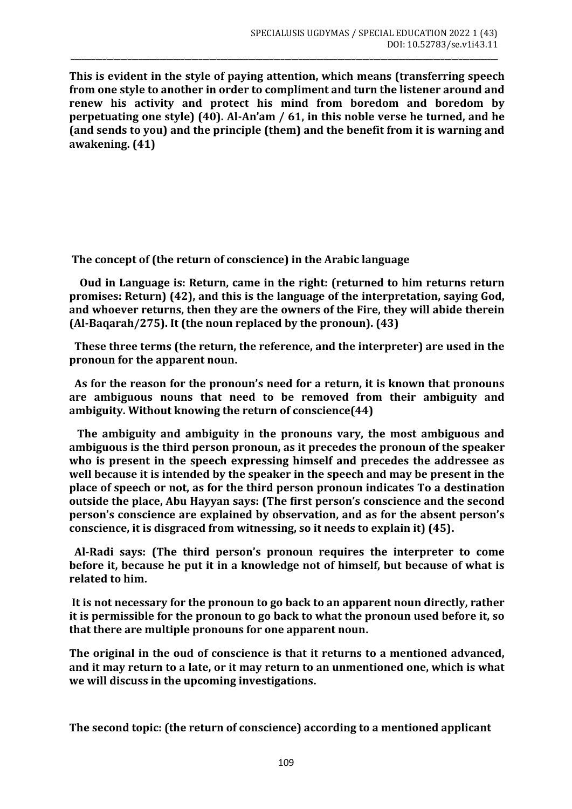**This is evident in the style of paying attention, which means (transferring speech from one style to another in order to compliment and turn the listener around and renew his activity and protect his mind from boredom and boredom by perpetuating one style) (40). Al-An'am / 61, in this noble verse he turned, and he (and sends to you) and the principle (them) and the benefit from it is warning and awakening. (41)**

\_\_\_\_\_\_\_\_\_\_\_\_\_\_\_\_\_\_\_\_\_\_\_\_\_\_\_\_\_\_\_\_\_\_\_\_\_\_\_\_\_\_\_\_\_\_\_\_\_\_\_\_\_\_\_\_\_\_\_\_\_\_\_\_\_\_\_\_\_\_\_\_\_\_\_\_\_\_\_\_\_\_\_\_\_\_\_\_\_\_\_\_\_\_\_\_\_\_\_\_\_\_\_\_\_\_\_\_\_\_\_\_\_\_\_\_\_\_\_\_

**The concept of (the return of conscience) in the Arabic language**

 **Oud in Language is: Return, came in the right: (returned to him returns return promises: Return) (42), and this is the language of the interpretation, saying God, and whoever returns, then they are the owners of the Fire, they will abide therein (Al-Baqarah/275). It (the noun replaced by the pronoun). (43)**

 **These three terms (the return, the reference, and the interpreter) are used in the pronoun for the apparent noun.**

 **As for the reason for the pronoun's need for a return, it is known that pronouns are ambiguous nouns that need to be removed from their ambiguity and ambiguity. Without knowing the return of conscience(44)**

 **The ambiguity and ambiguity in the pronouns vary, the most ambiguous and ambiguous is the third person pronoun, as it precedes the pronoun of the speaker who is present in the speech expressing himself and precedes the addressee as well because it is intended by the speaker in the speech and may be present in the place of speech or not, as for the third person pronoun indicates To a destination outside the place, Abu Hayyan says: (The first person's conscience and the second person's conscience are explained by observation, and as for the absent person's conscience, it is disgraced from witnessing, so it needs to explain it) (45).**

 **Al-Radi says: (The third person's pronoun requires the interpreter to come before it, because he put it in a knowledge not of himself, but because of what is related to him.**

**It is not necessary for the pronoun to go back to an apparent noun directly, rather it is permissible for the pronoun to go back to what the pronoun used before it, so that there are multiple pronouns for one apparent noun.**

**The original in the oud of conscience is that it returns to a mentioned advanced, and it may return to a late, or it may return to an unmentioned one, which is what we will discuss in the upcoming investigations.**

**The second topic: (the return of conscience) according to a mentioned applicant**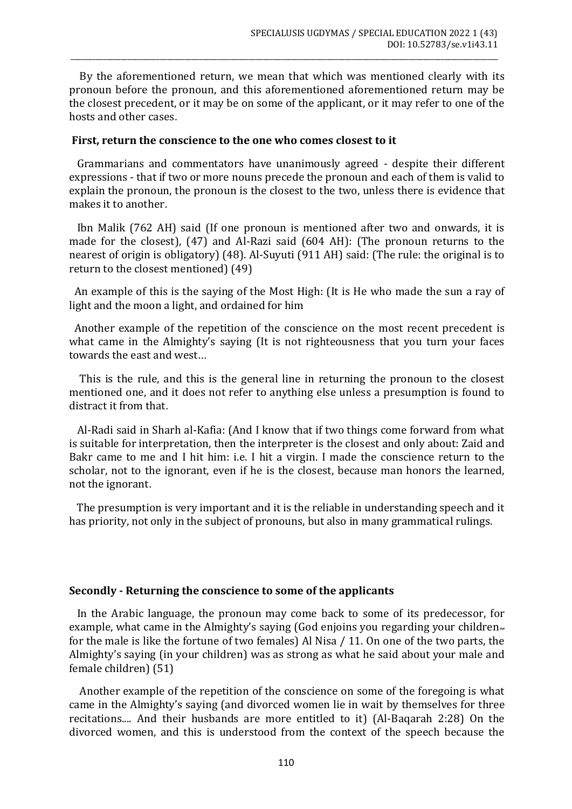By the aforementioned return, we mean that which was mentioned clearly with its pronoun before the pronoun, and this aforementioned aforementioned return may be the closest precedent, or it may be on some of the applicant, or it may refer to one of the hosts and other cases.

\_\_\_\_\_\_\_\_\_\_\_\_\_\_\_\_\_\_\_\_\_\_\_\_\_\_\_\_\_\_\_\_\_\_\_\_\_\_\_\_\_\_\_\_\_\_\_\_\_\_\_\_\_\_\_\_\_\_\_\_\_\_\_\_\_\_\_\_\_\_\_\_\_\_\_\_\_\_\_\_\_\_\_\_\_\_\_\_\_\_\_\_\_\_\_\_\_\_\_\_\_\_\_\_\_\_\_\_\_\_\_\_\_\_\_\_\_\_\_\_

#### **First, return the conscience to the one who comes closest to it**

 Grammarians and commentators have unanimously agreed - despite their different expressions - that if two or more nouns precede the pronoun and each of them is valid to explain the pronoun, the pronoun is the closest to the two, unless there is evidence that makes it to another.

 Ibn Malik (762 AH) said (If one pronoun is mentioned after two and onwards, it is made for the closest), (47) and Al-Razi said (604 AH): (The pronoun returns to the nearest of origin is obligatory) (48). Al-Suyuti (911 AH) said: (The rule: the original is to return to the closest mentioned) (49)

 An example of this is the saying of the Most High: (It is He who made the sun a ray of light and the moon a light, and ordained for him

 Another example of the repetition of the conscience on the most recent precedent is what came in the Almighty's saying (It is not righteousness that you turn your faces towards the east and west...

 This is the rule, and this is the general line in returning the pronoun to the closest mentioned one, and it does not refer to anything else unless a presumption is found to distract it from that.

 Al-Radi said in Sharh al-Kafia: (And I know that if two things come forward from what is suitable for interpretation, then the interpreter is the closest and only about: Zaid and Bakr came to me and I hit him: i.e. I hit a virgin. I made the conscience return to the scholar, not to the ignorant, even if he is the closest, because man honors the learned, not the ignorant.

 The presumption is very important and it is the reliable in understanding speech and it has priority, not only in the subject of pronouns, but also in many grammatical rulings.

#### **Secondly - Returning the conscience to some of the applicants**

 In the Arabic language, the pronoun may come back to some of its predecessor, for example, what came in the Almighty's saying (God enjoins you regarding your children $\equiv$ for the male is like the fortune of two females) Al Nisa / 11. On one of the two parts, the Almighty's saying (in your children) was as strong as what he said about your male and female children) (51)

 Another example of the repetition of the conscience on some of the foregoing is what came in the Almighty's saying (and divorced women lie in wait by themselves for three recitations.... And their husbands are more entitled to it) (Al-Baqarah 2:28) On the divorced women, and this is understood from the context of the speech because the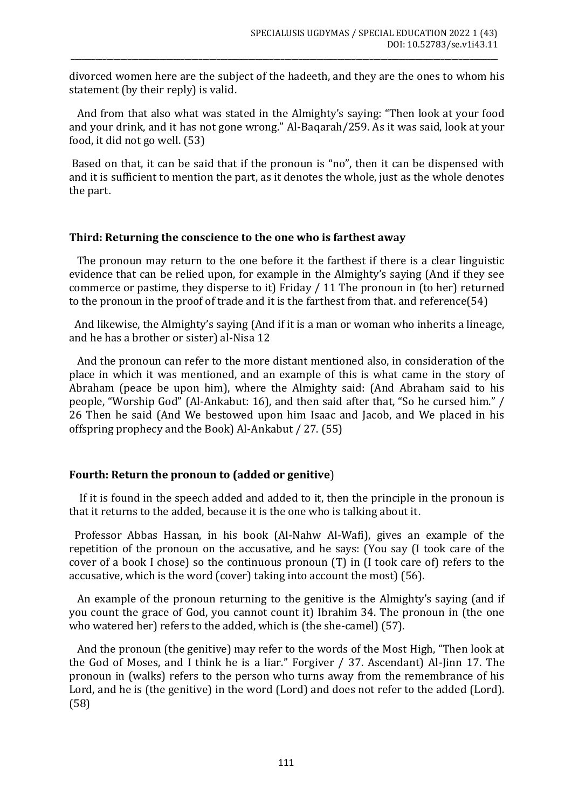divorced women here are the subject of the hadeeth, and they are the ones to whom his statement (by their reply) is valid.

\_\_\_\_\_\_\_\_\_\_\_\_\_\_\_\_\_\_\_\_\_\_\_\_\_\_\_\_\_\_\_\_\_\_\_\_\_\_\_\_\_\_\_\_\_\_\_\_\_\_\_\_\_\_\_\_\_\_\_\_\_\_\_\_\_\_\_\_\_\_\_\_\_\_\_\_\_\_\_\_\_\_\_\_\_\_\_\_\_\_\_\_\_\_\_\_\_\_\_\_\_\_\_\_\_\_\_\_\_\_\_\_\_\_\_\_\_\_\_\_

 And from that also what was stated in the Almighty's saying: "Then look at your food and your drink, and it has not gone wrong." Al-Baqarah/259. As it was said, look at your food, it did not go well. (53)

Based on that, it can be said that if the pronoun is "no", then it can be dispensed with and it is sufficient to mention the part, as it denotes the whole, just as the whole denotes the part.

## **Third: Returning the conscience to the one who is farthest away**

 The pronoun may return to the one before it the farthest if there is a clear linguistic evidence that can be relied upon, for example in the Almighty's saying (And if they see commerce or pastime, they disperse to it) Friday / 11 The pronoun in (to her) returned to the pronoun in the proof of trade and it is the farthest from that. and reference(54)

 And likewise, the Almighty's saying (And if it is a man or woman who inherits a lineage, and he has a brother or sister) al-Nisa 12

 And the pronoun can refer to the more distant mentioned also, in consideration of the place in which it was mentioned, and an example of this is what came in the story of Abraham (peace be upon him), where the Almighty said: (And Abraham said to his people, "Worship God" (Al-Ankabut: 16), and then said after that, "So he cursed him." / 26 Then he said (And We bestowed upon him Isaac and Jacob, and We placed in his offspring prophecy and the Book) Al-Ankabut / 27. (55)

## **Fourth: Return the pronoun to (added or genitive**)

 If it is found in the speech added and added to it, then the principle in the pronoun is that it returns to the added, because it is the one who is talking about it.

 Professor Abbas Hassan, in his book (Al-Nahw Al-Wafi), gives an example of the repetition of the pronoun on the accusative, and he says: (You say (I took care of the cover of a book I chose) so the continuous pronoun (T) in (I took care of) refers to the accusative, which is the word (cover) taking into account the most) (56).

 An example of the pronoun returning to the genitive is the Almighty's saying (and if you count the grace of God, you cannot count it) Ibrahim 34. The pronoun in (the one who watered her) refers to the added, which is (the she-camel) (57).

 And the pronoun (the genitive) may refer to the words of the Most High, "Then look at the God of Moses, and I think he is a liar." Forgiver / 37. Ascendant) Al-Jinn 17. The pronoun in (walks) refers to the person who turns away from the remembrance of his Lord, and he is (the genitive) in the word (Lord) and does not refer to the added (Lord). (58)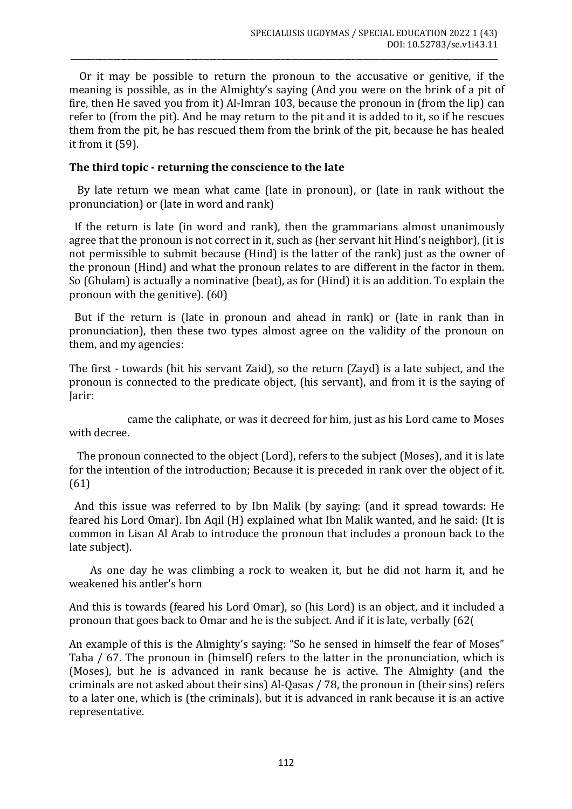Or it may be possible to return the pronoun to the accusative or genitive, if the meaning is possible, as in the Almighty's saying (And you were on the brink of a pit of fire, then He saved you from it) Al-Imran 103, because the pronoun in (from the lip) can refer to (from the pit). And he may return to the pit and it is added to it, so if he rescues them from the pit, he has rescued them from the brink of the pit, because he has healed it from it (59).

\_\_\_\_\_\_\_\_\_\_\_\_\_\_\_\_\_\_\_\_\_\_\_\_\_\_\_\_\_\_\_\_\_\_\_\_\_\_\_\_\_\_\_\_\_\_\_\_\_\_\_\_\_\_\_\_\_\_\_\_\_\_\_\_\_\_\_\_\_\_\_\_\_\_\_\_\_\_\_\_\_\_\_\_\_\_\_\_\_\_\_\_\_\_\_\_\_\_\_\_\_\_\_\_\_\_\_\_\_\_\_\_\_\_\_\_\_\_\_\_

## **The third topic - returning the conscience to the late**

 By late return we mean what came (late in pronoun), or (late in rank without the pronunciation) or (late in word and rank)

 If the return is late (in word and rank), then the grammarians almost unanimously agree that the pronoun is not correct in it, such as (her servant hit Hind's neighbor), (it is not permissible to submit because (Hind) is the latter of the rank) just as the owner of the pronoun (Hind) and what the pronoun relates to are different in the factor in them. So (Ghulam) is actually a nominative (beat), as for (Hind) it is an addition. To explain the pronoun with the genitive). (60)

 But if the return is (late in pronoun and ahead in rank) or (late in rank than in pronunciation), then these two types almost agree on the validity of the pronoun on them, and my agencies:

The first - towards (hit his servant Zaid), so the return (Zayd) is a late subject, and the pronoun is connected to the predicate object, (his servant), and from it is the saying of Jarir:

 came the caliphate, or was it decreed for him, just as his Lord came to Moses with decree.

 The pronoun connected to the object (Lord), refers to the subject (Moses), and it is late for the intention of the introduction; Because it is preceded in rank over the object of it. (61)

 And this issue was referred to by Ibn Malik (by saying: (and it spread towards: He feared his Lord Omar). Ibn Aqil (H) explained what Ibn Malik wanted, and he said: (It is common in Lisan Al Arab to introduce the pronoun that includes a pronoun back to the late subject).

 As one day he was climbing a rock to weaken it, but he did not harm it, and he weakened his antler's horn

And this is towards (feared his Lord Omar), so (his Lord) is an object, and it included a pronoun that goes back to Omar and he is the subject. And if it is late, verbally (62)

An example of this is the Almighty's saying: "So he sensed in himself the fear of Moses" Taha / 67. The pronoun in (himself) refers to the latter in the pronunciation, which is (Moses), but he is advanced in rank because he is active. The Almighty (and the criminals are not asked about their sins) Al-Qasas / 78, the pronoun in (their sins) refers to a later one, which is (the criminals), but it is advanced in rank because it is an active representative.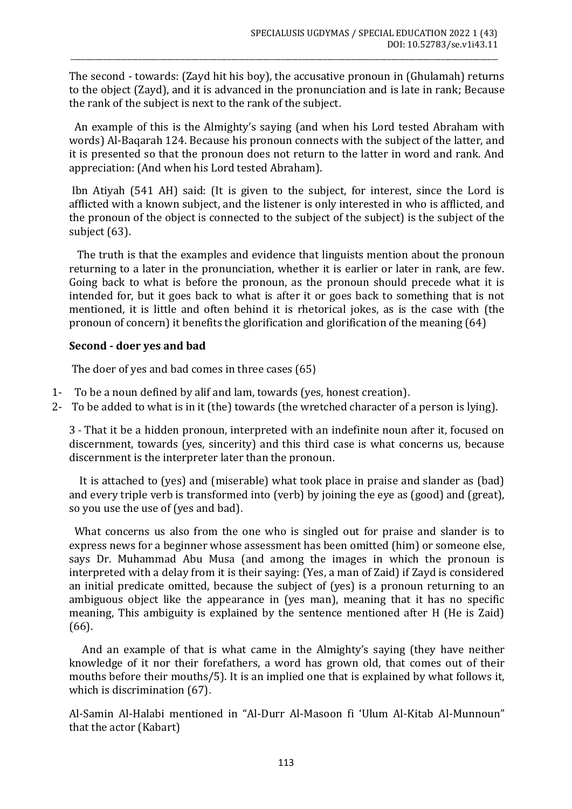The second - towards: (Zayd hit his boy), the accusative pronoun in (Ghulamah) returns to the object (Zayd), and it is advanced in the pronunciation and is late in rank; Because the rank of the subject is next to the rank of the subject.

\_\_\_\_\_\_\_\_\_\_\_\_\_\_\_\_\_\_\_\_\_\_\_\_\_\_\_\_\_\_\_\_\_\_\_\_\_\_\_\_\_\_\_\_\_\_\_\_\_\_\_\_\_\_\_\_\_\_\_\_\_\_\_\_\_\_\_\_\_\_\_\_\_\_\_\_\_\_\_\_\_\_\_\_\_\_\_\_\_\_\_\_\_\_\_\_\_\_\_\_\_\_\_\_\_\_\_\_\_\_\_\_\_\_\_\_\_\_\_\_

 An example of this is the Almighty's saying (and when his Lord tested Abraham with words) Al-Baqarah 124. Because his pronoun connects with the subject of the latter, and it is presented so that the pronoun does not return to the latter in word and rank. And appreciation: (And when his Lord tested Abraham).

Ibn Atiyah (541 AH) said: (It is given to the subject, for interest, since the Lord is afflicted with a known subject, and the listener is only interested in who is afflicted, and the pronoun of the object is connected to the subject of the subject) is the subject of the subject (63).

 The truth is that the examples and evidence that linguists mention about the pronoun returning to a later in the pronunciation, whether it is earlier or later in rank, are few. Going back to what is before the pronoun, as the pronoun should precede what it is intended for, but it goes back to what is after it or goes back to something that is not mentioned, it is little and often behind it is rhetorical jokes, as is the case with (the pronoun of concern) it benefits the glorification and glorification of the meaning (64)

## **Second - doer yes and bad**

The doer of yes and bad comes in three cases  $(65)$ 

- 1- To be a noun defined by alif and lam, towards (yes, honest creation).
- 2- To be added to what is in it (the) towards (the wretched character of a person is lying).

3 - That it be a hidden pronoun, interpreted with an indefinite noun after it, focused on discernment, towards (yes, sincerity) and this third case is what concerns us, because discernment is the interpreter later than the pronoun.

 It is attached to (yes) and (miserable) what took place in praise and slander as (bad) and every triple verb is transformed into (verb) by joining the eye as (good) and (great), so you use the use of (yes and bad).

 What concerns us also from the one who is singled out for praise and slander is to express news for a beginner whose assessment has been omitted (him) or someone else, says Dr. Muhammad Abu Musa (and among the images in which the pronoun is interpreted with a delay from it is their saying: (Yes, a man of Zaid) if Zayd is considered an initial predicate omitted, because the subject of (yes) is a pronoun returning to an ambiguous object like the appearance in (yes man), meaning that it has no specific meaning, This ambiguity is explained by the sentence mentioned after H (He is Zaid) (66).

 And an example of that is what came in the Almighty's saying (they have neither knowledge of it nor their forefathers, a word has grown old, that comes out of their mouths before their mouths/5). It is an implied one that is explained by what follows it, which is discrimination (67).

Al-Samin Al-Halabi mentioned in "Al-Durr Al-Masoon fi 'Ulum Al-Kitab Al-Munnoun" that the actor (Kabart)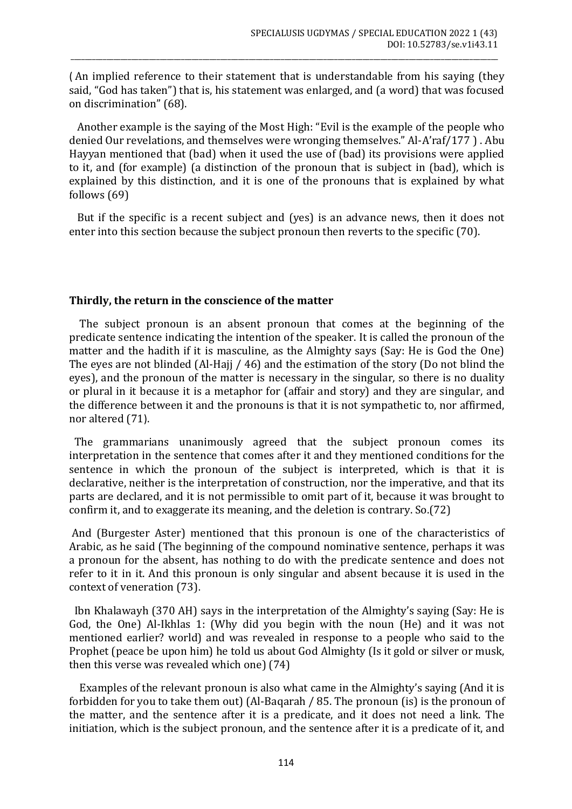) An implied reference to their statement that is understandable from his saying (they said, "God has taken") that is, his statement was enlarged, and (a word) that was focused on discrimination" (68).

\_\_\_\_\_\_\_\_\_\_\_\_\_\_\_\_\_\_\_\_\_\_\_\_\_\_\_\_\_\_\_\_\_\_\_\_\_\_\_\_\_\_\_\_\_\_\_\_\_\_\_\_\_\_\_\_\_\_\_\_\_\_\_\_\_\_\_\_\_\_\_\_\_\_\_\_\_\_\_\_\_\_\_\_\_\_\_\_\_\_\_\_\_\_\_\_\_\_\_\_\_\_\_\_\_\_\_\_\_\_\_\_\_\_\_\_\_\_\_\_

 Another example is the saying of the Most High: "Evil is the example of the people who denied Our revelations, and themselves were wronging themselves." Al-A'raf/177 ) . Abu Hayyan mentioned that (bad) when it used the use of (bad) its provisions were applied to it, and (for example) (a distinction of the pronoun that is subject in (bad), which is explained by this distinction, and it is one of the pronouns that is explained by what follows (69)

 But if the specific is a recent subject and (yes) is an advance news, then it does not enter into this section because the subject pronoun then reverts to the specific (70).

## **Thirdly, the return in the conscience of the matter**

 The subject pronoun is an absent pronoun that comes at the beginning of the predicate sentence indicating the intention of the speaker. It is called the pronoun of the matter and the hadith if it is masculine, as the Almighty says (Say: He is God the One) The eyes are not blinded (Al-Hajj / 46) and the estimation of the story (Do not blind the eyes), and the pronoun of the matter is necessary in the singular, so there is no duality or plural in it because it is a metaphor for (affair and story) and they are singular, and the difference between it and the pronouns is that it is not sympathetic to, nor affirmed, nor altered (71).

 The grammarians unanimously agreed that the subject pronoun comes its interpretation in the sentence that comes after it and they mentioned conditions for the sentence in which the pronoun of the subject is interpreted, which is that it is declarative, neither is the interpretation of construction, nor the imperative, and that its parts are declared, and it is not permissible to omit part of it, because it was brought to confirm it, and to exaggerate its meaning, and the deletion is contrary. So.(72)

And (Burgester Aster) mentioned that this pronoun is one of the characteristics of Arabic, as he said (The beginning of the compound nominative sentence, perhaps it was a pronoun for the absent, has nothing to do with the predicate sentence and does not refer to it in it. And this pronoun is only singular and absent because it is used in the context of veneration (73).

 Ibn Khalawayh (370 AH) says in the interpretation of the Almighty's saying (Say: He is God, the One) Al-Ikhlas 1: (Why did you begin with the noun (He) and it was not mentioned earlier? world) and was revealed in response to a people who said to the Prophet (peace be upon him) he told us about God Almighty (Is it gold or silver or musk, then this verse was revealed which one) (74)

 Examples of the relevant pronoun is also what came in the Almighty's saying (And it is forbidden for you to take them out) (Al-Baqarah / 85. The pronoun (is) is the pronoun of the matter, and the sentence after it is a predicate, and it does not need a link. The initiation, which is the subject pronoun, and the sentence after it is a predicate of it, and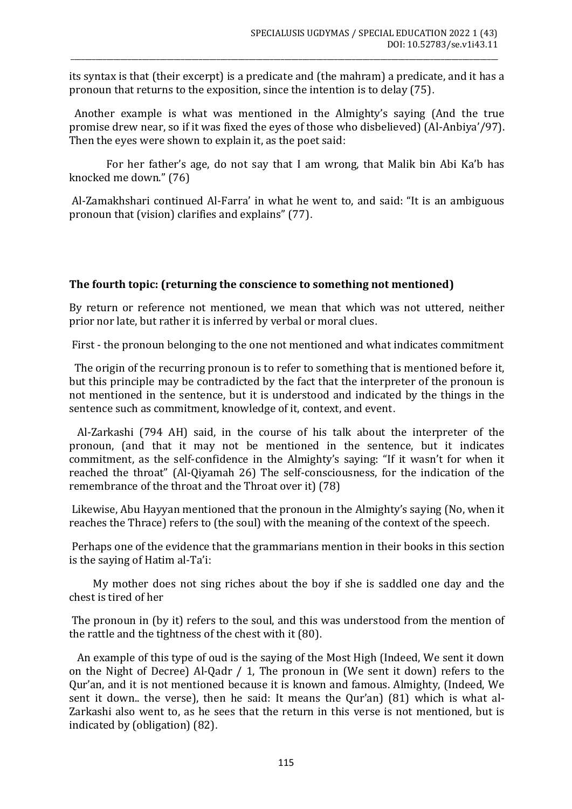its syntax is that (their excerpt) is a predicate and (the mahram) a predicate, and it has a pronoun that returns to the exposition, since the intention is to delay (75).

\_\_\_\_\_\_\_\_\_\_\_\_\_\_\_\_\_\_\_\_\_\_\_\_\_\_\_\_\_\_\_\_\_\_\_\_\_\_\_\_\_\_\_\_\_\_\_\_\_\_\_\_\_\_\_\_\_\_\_\_\_\_\_\_\_\_\_\_\_\_\_\_\_\_\_\_\_\_\_\_\_\_\_\_\_\_\_\_\_\_\_\_\_\_\_\_\_\_\_\_\_\_\_\_\_\_\_\_\_\_\_\_\_\_\_\_\_\_\_\_

 Another example is what was mentioned in the Almighty's saying (And the true promise drew near, so if it was fixed the eyes of those who disbelieved) (Al-Anbiya'/97). Then the eyes were shown to explain it, as the poet said:

 For her father's age, do not say that I am wrong, that Malik bin Abi Ka'b has knocked me down." (76)

Al-Zamakhshari continued Al-Farra' in what he went to, and said: "It is an ambiguous pronoun that (vision) clarifies and explains" (77).

# **The fourth topic: (returning the conscience to something not mentioned)**

By return or reference not mentioned, we mean that which was not uttered, neither prior nor late, but rather it is inferred by verbal or moral clues.

First - the pronoun belonging to the one not mentioned and what indicates commitment

 The origin of the recurring pronoun is to refer to something that is mentioned before it, but this principle may be contradicted by the fact that the interpreter of the pronoun is not mentioned in the sentence, but it is understood and indicated by the things in the sentence such as commitment, knowledge of it, context, and event.

 Al-Zarkashi (794 AH) said, in the course of his talk about the interpreter of the pronoun, (and that it may not be mentioned in the sentence, but it indicates commitment, as the self-confidence in the Almighty's saying: "If it wasn't for when it reached the throat" (Al-Qiyamah 26) The self-consciousness, for the indication of the remembrance of the throat and the Throat over it) (78)

Likewise, Abu Hayyan mentioned that the pronoun in the Almighty's saying (No, when it reaches the Thrace) refers to (the soul) with the meaning of the context of the speech.

Perhaps one of the evidence that the grammarians mention in their books in this section is the saying of Hatim al-Ta'i:

 My mother does not sing riches about the boy if she is saddled one day and the chest is tired of her

The pronoun in (by it) refers to the soul, and this was understood from the mention of the rattle and the tightness of the chest with it (80).

 An example of this type of oud is the saying of the Most High (Indeed, We sent it down on the Night of Decree) Al-Qadr / 1, The pronoun in (We sent it down) refers to the Qur'an, and it is not mentioned because it is known and famous. Almighty, (Indeed, We sent it down.. the verse), then he said: It means the Qur'an) (81) which is what al-Zarkashi also went to, as he sees that the return in this verse is not mentioned, but is indicated by (obligation) (82).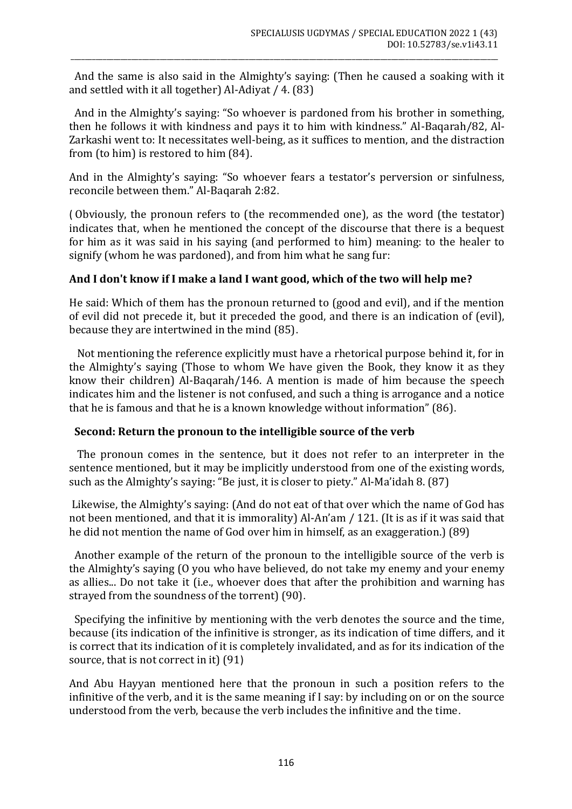And the same is also said in the Almighty's saying: (Then he caused a soaking with it and settled with it all together) Al-Adiyat / 4. (83)

\_\_\_\_\_\_\_\_\_\_\_\_\_\_\_\_\_\_\_\_\_\_\_\_\_\_\_\_\_\_\_\_\_\_\_\_\_\_\_\_\_\_\_\_\_\_\_\_\_\_\_\_\_\_\_\_\_\_\_\_\_\_\_\_\_\_\_\_\_\_\_\_\_\_\_\_\_\_\_\_\_\_\_\_\_\_\_\_\_\_\_\_\_\_\_\_\_\_\_\_\_\_\_\_\_\_\_\_\_\_\_\_\_\_\_\_\_\_\_\_

 And in the Almighty's saying: "So whoever is pardoned from his brother in something, then he follows it with kindness and pays it to him with kindness." Al-Baqarah/82, Al-Zarkashi went to: It necessitates well-being, as it suffices to mention, and the distraction from (to him) is restored to him (84).

And in the Almighty's saying: "So whoever fears a testator's perversion or sinfulness, reconcile between them." Al-Baqarah 2:82.

) Obviously, the pronoun refers to (the recommended one), as the word (the testator) indicates that, when he mentioned the concept of the discourse that there is a bequest for him as it was said in his saying (and performed to him) meaning: to the healer to signify (whom he was pardoned), and from him what he sang fur:

# **And I don't know if I make a land I want good, which of the two will help me?**

He said: Which of them has the pronoun returned to (good and evil), and if the mention of evil did not precede it, but it preceded the good, and there is an indication of (evil), because they are intertwined in the mind (85).

 Not mentioning the reference explicitly must have a rhetorical purpose behind it, for in the Almighty's saying (Those to whom We have given the Book, they know it as they know their children) Al-Baqarah/146. A mention is made of him because the speech indicates him and the listener is not confused, and such a thing is arrogance and a notice that he is famous and that he is a known knowledge without information" (86).

## **Second: Return the pronoun to the intelligible source of the verb**

 The pronoun comes in the sentence, but it does not refer to an interpreter in the sentence mentioned, but it may be implicitly understood from one of the existing words, such as the Almighty's saying: "Be just, it is closer to piety." Al-Ma'idah 8. (87)

Likewise, the Almighty's saying: (And do not eat of that over which the name of God has not been mentioned, and that it is immorality) Al-An'am / 121. (It is as if it was said that he did not mention the name of God over him in himself, as an exaggeration.) (89)

 Another example of the return of the pronoun to the intelligible source of the verb is the Almighty's saying (O you who have believed, do not take my enemy and your enemy as allies... Do not take it (i.e., whoever does that after the prohibition and warning has strayed from the soundness of the torrent) (90).

 Specifying the infinitive by mentioning with the verb denotes the source and the time, because (its indication of the infinitive is stronger, as its indication of time differs, and it is correct that its indication of it is completely invalidated, and as for its indication of the source, that is not correct in it)  $(91)$ 

And Abu Hayyan mentioned here that the pronoun in such a position refers to the infinitive of the verb, and it is the same meaning if I say: by including on or on the source understood from the verb, because the verb includes the infinitive and the time.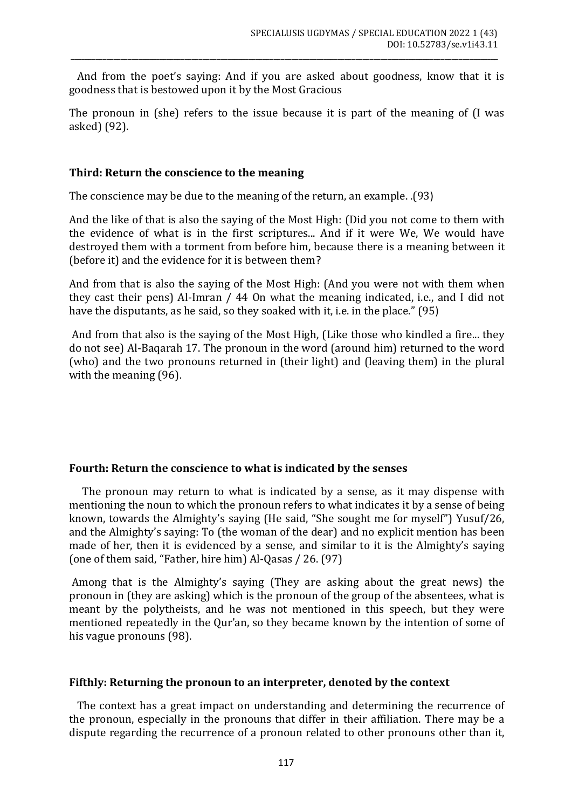And from the poet's saying: And if you are asked about goodness, know that it is goodness that is bestowed upon it by the Most Gracious

\_\_\_\_\_\_\_\_\_\_\_\_\_\_\_\_\_\_\_\_\_\_\_\_\_\_\_\_\_\_\_\_\_\_\_\_\_\_\_\_\_\_\_\_\_\_\_\_\_\_\_\_\_\_\_\_\_\_\_\_\_\_\_\_\_\_\_\_\_\_\_\_\_\_\_\_\_\_\_\_\_\_\_\_\_\_\_\_\_\_\_\_\_\_\_\_\_\_\_\_\_\_\_\_\_\_\_\_\_\_\_\_\_\_\_\_\_\_\_\_

The pronoun in (she) refers to the issue because it is part of the meaning of (I was asked) (92).

## **Third: Return the conscience to the meaning**

The conscience may be due to the meaning of the return, an example. .(93(

And the like of that is also the saying of the Most High: (Did you not come to them with the evidence of what is in the first scriptures... And if it were We, We would have destroyed them with a torment from before him, because there is a meaning between it (before it) and the evidence for it is between them?

And from that is also the saying of the Most High: (And you were not with them when they cast their pens) Al-Imran / 44 On what the meaning indicated, i.e., and I did not have the disputants, as he said, so they soaked with it, i.e. in the place."  $(95)$ 

And from that also is the saying of the Most High, (Like those who kindled a fire... they do not see) Al-Baqarah 17. The pronoun in the word (around him) returned to the word (who) and the two pronouns returned in (their light) and (leaving them) in the plural with the meaning (96).

## **Fourth: Return the conscience to what is indicated by the senses**

 The pronoun may return to what is indicated by a sense, as it may dispense with mentioning the noun to which the pronoun refers to what indicates it by a sense of being known, towards the Almighty's saying (He said, "She sought me for myself") Yusuf/26, and the Almighty's saying: To (the woman of the dear) and no explicit mention has been made of her, then it is evidenced by a sense, and similar to it is the Almighty's saying (one of them said, "Father, hire him) Al-Qasas / 26. (97)

Among that is the Almighty's saying (They are asking about the great news) the pronoun in (they are asking) which is the pronoun of the group of the absentees, what is meant by the polytheists, and he was not mentioned in this speech, but they were mentioned repeatedly in the Qur'an, so they became known by the intention of some of his vague pronouns (98).

#### **Fifthly: Returning the pronoun to an interpreter, denoted by the context**

 The context has a great impact on understanding and determining the recurrence of the pronoun, especially in the pronouns that differ in their affiliation. There may be a dispute regarding the recurrence of a pronoun related to other pronouns other than it,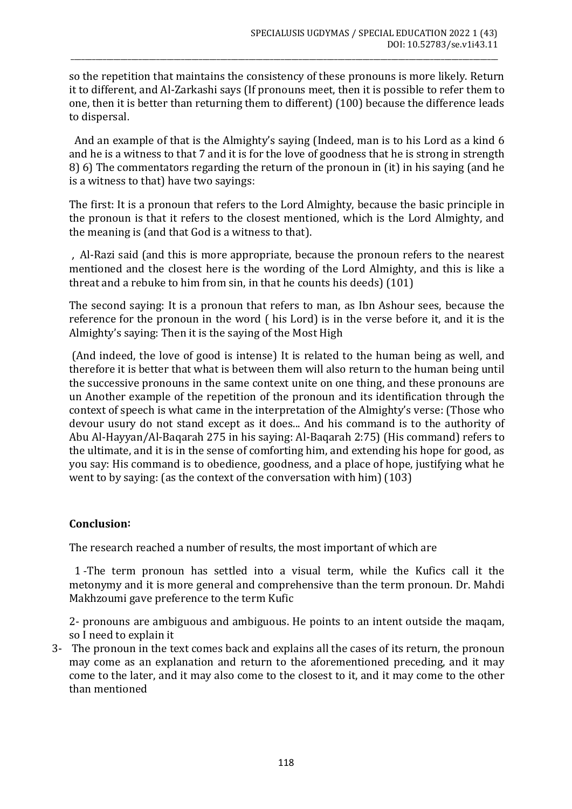so the repetition that maintains the consistency of these pronouns is more likely. Return it to different, and Al-Zarkashi says (If pronouns meet, then it is possible to refer them to one, then it is better than returning them to different) (100) because the difference leads to dispersal.

\_\_\_\_\_\_\_\_\_\_\_\_\_\_\_\_\_\_\_\_\_\_\_\_\_\_\_\_\_\_\_\_\_\_\_\_\_\_\_\_\_\_\_\_\_\_\_\_\_\_\_\_\_\_\_\_\_\_\_\_\_\_\_\_\_\_\_\_\_\_\_\_\_\_\_\_\_\_\_\_\_\_\_\_\_\_\_\_\_\_\_\_\_\_\_\_\_\_\_\_\_\_\_\_\_\_\_\_\_\_\_\_\_\_\_\_\_\_\_\_

 And an example of that is the Almighty's saying (Indeed, man is to his Lord as a kind 6 and he is a witness to that 7 and it is for the love of goodness that he is strong in strength 8) 6) The commentators regarding the return of the pronoun in (it) in his saying (and he is a witness to that) have two sayings:

The first: It is a pronoun that refers to the Lord Almighty, because the basic principle in the pronoun is that it refers to the closest mentioned, which is the Lord Almighty, and the meaning is (and that God is a witness to that).

 , Al-Razi said (and this is more appropriate, because the pronoun refers to the nearest mentioned and the closest here is the wording of the Lord Almighty, and this is like a threat and a rebuke to him from sin, in that he counts his deeds) (101)

The second saying: It is a pronoun that refers to man, as Ibn Ashour sees, because the reference for the pronoun in the word ( his Lord) is in the verse before it, and it is the Almighty's saying: Then it is the saying of the Most High

(And indeed, the love of good is intense) It is related to the human being as well, and therefore it is better that what is between them will also return to the human being until the successive pronouns in the same context unite on one thing, and these pronouns are un Another example of the repetition of the pronoun and its identification through the context of speech is what came in the interpretation of the Almighty's verse: (Those who devour usury do not stand except as it does... And his command is to the authority of Abu Al-Hayyan/Al-Baqarah 275 in his saying: Al-Baqarah 2:75) (His command) refers to the ultimate, and it is in the sense of comforting him, and extending his hope for good, as you say: His command is to obedience, goodness, and a place of hope, justifying what he went to by saying: (as the context of the conversation with him) (103)

## **Conclusion:**

The research reached a number of results, the most important of which are

 1 -The term pronoun has settled into a visual term, while the Kufics call it the metonymy and it is more general and comprehensive than the term pronoun. Dr. Mahdi Makhzoumi gave preference to the term Kufic

2- pronouns are ambiguous and ambiguous. He points to an intent outside the maqam, so I need to explain it

3- The pronoun in the text comes back and explains all the cases of its return, the pronoun may come as an explanation and return to the aforementioned preceding, and it may come to the later, and it may also come to the closest to it, and it may come to the other than mentioned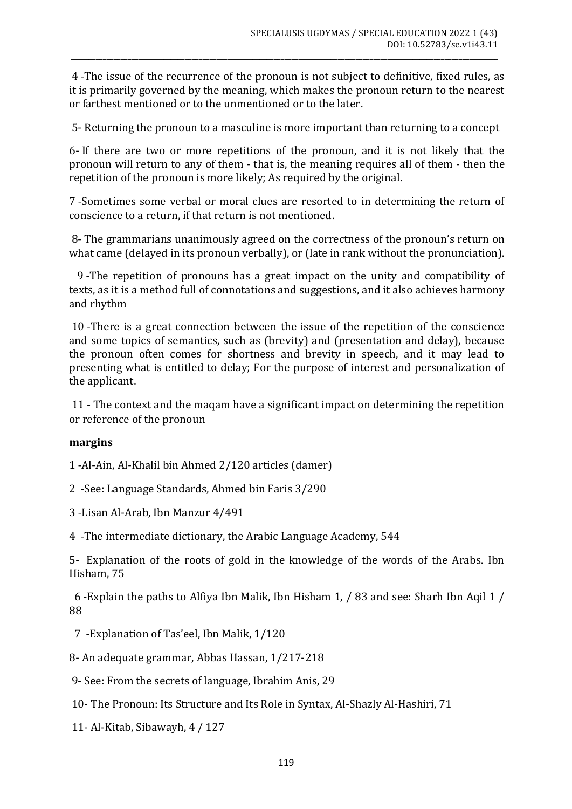4 -The issue of the recurrence of the pronoun is not subject to definitive, fixed rules, as it is primarily governed by the meaning, which makes the pronoun return to the nearest or farthest mentioned or to the unmentioned or to the later.

\_\_\_\_\_\_\_\_\_\_\_\_\_\_\_\_\_\_\_\_\_\_\_\_\_\_\_\_\_\_\_\_\_\_\_\_\_\_\_\_\_\_\_\_\_\_\_\_\_\_\_\_\_\_\_\_\_\_\_\_\_\_\_\_\_\_\_\_\_\_\_\_\_\_\_\_\_\_\_\_\_\_\_\_\_\_\_\_\_\_\_\_\_\_\_\_\_\_\_\_\_\_\_\_\_\_\_\_\_\_\_\_\_\_\_\_\_\_\_\_

5- Returning the pronoun to a masculine is more important than returning to a concept

6- If there are two or more repetitions of the pronoun, and it is not likely that the pronoun will return to any of them - that is, the meaning requires all of them - then the repetition of the pronoun is more likely; As required by the original.

7 -Sometimes some verbal or moral clues are resorted to in determining the return of conscience to a return, if that return is not mentioned.

8- The grammarians unanimously agreed on the correctness of the pronoun's return on what came (delayed in its pronoun verbally), or (late in rank without the pronunciation).

 9 -The repetition of pronouns has a great impact on the unity and compatibility of texts, as it is a method full of connotations and suggestions, and it also achieves harmony and rhythm

10 -There is a great connection between the issue of the repetition of the conscience and some topics of semantics, such as (brevity) and (presentation and delay), because the pronoun often comes for shortness and brevity in speech, and it may lead to presenting what is entitled to delay; For the purpose of interest and personalization of the applicant.

11 - The context and the maqam have a significant impact on determining the repetition or reference of the pronoun

#### **margins**

1 -Al-Ain, Al-Khalil bin Ahmed 2/120 articles (damer)

2 -See: Language Standards, Ahmed bin Faris 3/290

3 -Lisan Al-Arab, Ibn Manzur 4/491

4 -The intermediate dictionary, the Arabic Language Academy, 544

5- Explanation of the roots of gold in the knowledge of the words of the Arabs. Ibn Hisham, 75

 6 -Explain the paths to Alfiya Ibn Malik, Ibn Hisham 1, / 83 and see: Sharh Ibn Aqil 1 / 88

7 -Explanation of Tas'eel, Ibn Malik, 1/120

8- An adequate grammar, Abbas Hassan, 1/217-218

9- See: From the secrets of language, Ibrahim Anis, 29

10- The Pronoun: Its Structure and Its Role in Syntax, Al-Shazly Al-Hashiri, 71

11- Al-Kitab, Sibawayh, 4 / 127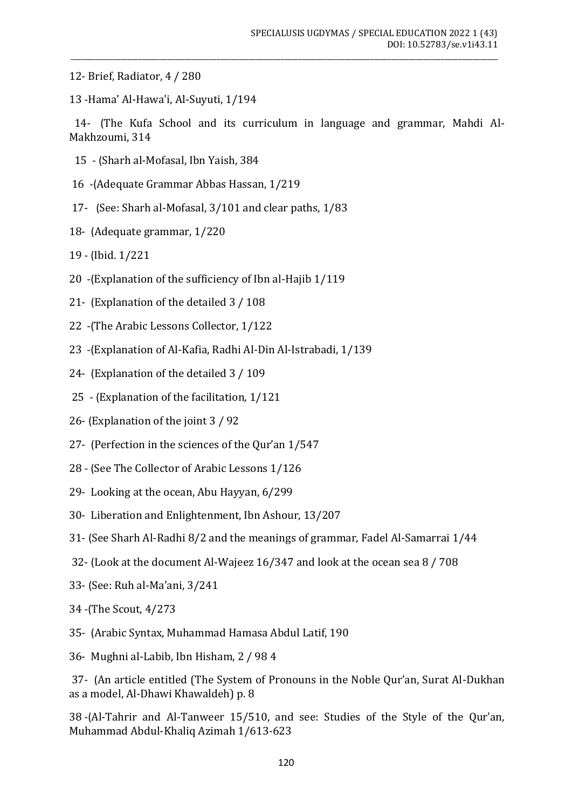- 12- Brief, Radiator, 4 / 280
- 13 -Hama' Al-Hawa'i, Al-Suyuti, 1/194

14- (The Kufa School and its curriculum in language and grammar, Mahdi Al-Makhzoumi, 314

\_\_\_\_\_\_\_\_\_\_\_\_\_\_\_\_\_\_\_\_\_\_\_\_\_\_\_\_\_\_\_\_\_\_\_\_\_\_\_\_\_\_\_\_\_\_\_\_\_\_\_\_\_\_\_\_\_\_\_\_\_\_\_\_\_\_\_\_\_\_\_\_\_\_\_\_\_\_\_\_\_\_\_\_\_\_\_\_\_\_\_\_\_\_\_\_\_\_\_\_\_\_\_\_\_\_\_\_\_\_\_\_\_\_\_\_\_\_\_\_

- 15 (Sharh al-Mofasal, Ibn Yaish, 384
- 16 -(Adequate Grammar Abbas Hassan, 1/219
- 17- (See: Sharh al-Mofasal, 3/101 and clear paths, 1/83
- 18- (Adequate grammar, 1/220)
- 19 (Ibid. 1/221
- 20 (Explanation of the sufficiency of Ibn al-Hajib 1/119)
- 21- (Explanation of the detailed 3 / 108)
- 22 -(The Arabic Lessons Collector, 1/122
- 23 -(Explanation of Al-Kafia, Radhi Al-Din Al-Istrabadi, 1/139
- 24- (Explanation of the detailed 3 / 109)
- 25 (Explanation of the facilitation, 1/121
- 26- (Explanation of the joint 3 / 92)
- 27- (Perfection in the sciences of the Qur'an 1/547
- 28 (See The Collector of Arabic Lessons 1/126)
- 29- Looking at the ocean, Abu Hayyan, 6/299
- 30- Liberation and Enlightenment, Ibn Ashour, 13/207
- 31- (See Sharh Al-Radhi 8/2 and the meanings of grammar, Fadel Al-Samarrai 1/44
- 32- (Look at the document Al-Wajeez 16/347 and look at the ocean sea 8 / 708
- 33 (See: Ruh al-Ma'ani, 3/241
- 34 -(The Scout, 4/273)
- 35 (Arabic Syntax, Muhammad Hamasa Abdul Latif, 190
- 36- Mughni al-Labib, Ibn Hisham, 2 / 98 4

37- (An article entitled (The System of Pronouns in the Noble Our'an, Surat Al-Dukhan as a model, Al-Dhawi Khawaldeh) p. 8

38 -(Al-Tahrir and Al-Tanweer 15/510, and see: Studies of the Style of the Qur'an, Muhammad Abdul-Khaliq Azimah 1/613-623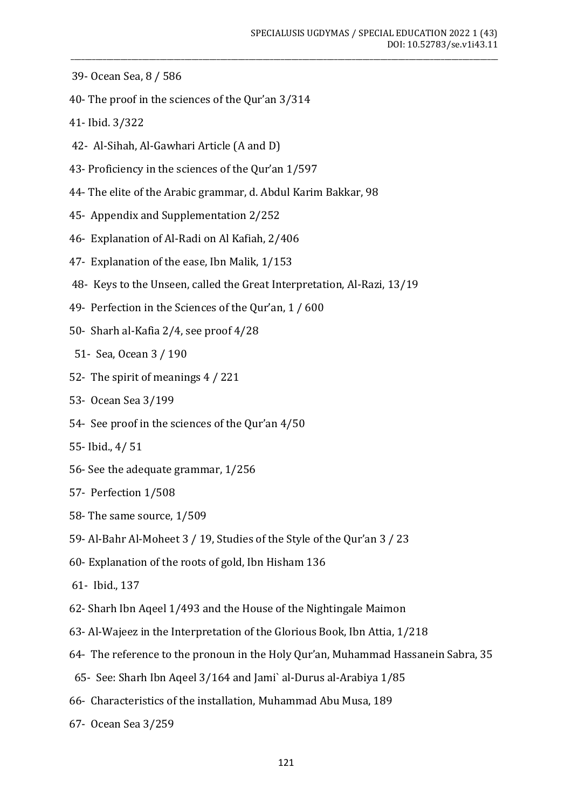- 39- Ocean Sea, 8 / 586
- 40- The proof in the sciences of the Qur'an 3/314
- 41- Ibid. 3/322
- 42- Al-Sihah, Al-Gawhari Article (A and D)
- 43- Proficiency in the sciences of the Qur'an 1/597
- 44- The elite of the Arabic grammar, d. Abdul Karim Bakkar, 98
- 45- Appendix and Supplementation 2/252
- 46- Explanation of Al-Radi on Al Kafiah, 2/406
- 47- Explanation of the ease, Ibn Malik, 1/153
- 48- Keys to the Unseen, called the Great Interpretation, Al-Razi, 13/19
- 49- Perfection in the Sciences of the Qur'an, 1 / 600
- 50- Sharh al-Kafia 2/4, see proof 4/28
- 51- Sea, Ocean 3 / 190
- 52- The spirit of meanings 4 / 221
- 53- Ocean Sea 3/199
- 54- See proof in the sciences of the Qur'an 4/50
- 55- Ibid., 4/ 51
- 56- See the adequate grammar, 1/256
- 57- Perfection 1/508
- 58- The same source, 1/509
- 59- Al-Bahr Al-Moheet 3 / 19, Studies of the Style of the Qur'an 3 / 23
- 60- Explanation of the roots of gold, Ibn Hisham 136
- 61- Ibid., 137
- 62- Sharh Ibn Aqeel 1/493 and the House of the Nightingale Maimon
- 63- Al-Wajeez in the Interpretation of the Glorious Book, Ibn Attia, 1/218
- 64- The reference to the pronoun in the Holy Qur'an, Muhammad Hassanein Sabra, 35
- 65- See: Sharh Ibn Aqeel 3/164 and Jami` al-Durus al-Arabiya 1/85
- 66- Characteristics of the installation, Muhammad Abu Musa, 189
- 67- Ocean Sea 3/259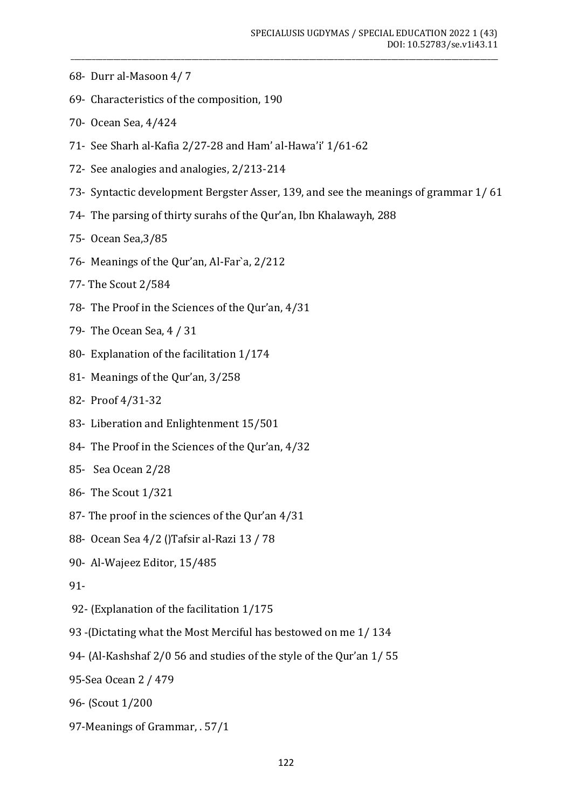- 68- Durr al-Masoon 4/ 7
- 69- Characteristics of the composition, 190
- 70- Ocean Sea, 4/424
- 71- See Sharh al-Kafia 2/27-28 and Ham' al-Hawa'i' 1/61-62
- 72- See analogies and analogies, 2/213-214
- 73- Syntactic development Bergster Asser, 139, and see the meanings of grammar 1/ 61

\_\_\_\_\_\_\_\_\_\_\_\_\_\_\_\_\_\_\_\_\_\_\_\_\_\_\_\_\_\_\_\_\_\_\_\_\_\_\_\_\_\_\_\_\_\_\_\_\_\_\_\_\_\_\_\_\_\_\_\_\_\_\_\_\_\_\_\_\_\_\_\_\_\_\_\_\_\_\_\_\_\_\_\_\_\_\_\_\_\_\_\_\_\_\_\_\_\_\_\_\_\_\_\_\_\_\_\_\_\_\_\_\_\_\_\_\_\_\_\_

- 74- The parsing of thirty surahs of the Qur'an, Ibn Khalawayh, 288
- 75- Ocean Sea,3/85
- 76- Meanings of the Qur'an, Al-Far`a, 2/212
- 77- The Scout 2/584
- 78- The Proof in the Sciences of the Qur'an, 4/31
- 79- The Ocean Sea, 4 / 31
- 80- Explanation of the facilitation 1/174
- 81- Meanings of the Qur'an, 3/258
- 82- Proof 4/31-32
- 83- Liberation and Enlightenment 15/501
- 84- The Proof in the Sciences of the Qur'an, 4/32
- 85- Sea Ocean 2/28
- 86- The Scout 1/321
- 87- The proof in the sciences of the Qur'an 4/31
- 88- Ocean Sea 4/2 ()Tafsir al-Razi 13 / 78
- 90- Al-Wajeez Editor, 15/485
- 91-
- 92- (Explanation of the facilitation 1/175
- 93 -(Dictating what the Most Merciful has bestowed on me 1/134
- 94- (Al-Kashshaf 2/0 56 and studies of the style of the Qur'an 1/55
- 95-Sea Ocean 2 / 479
- 96- (Scout 1/200
- 97-Meanings of Grammar, . 57/1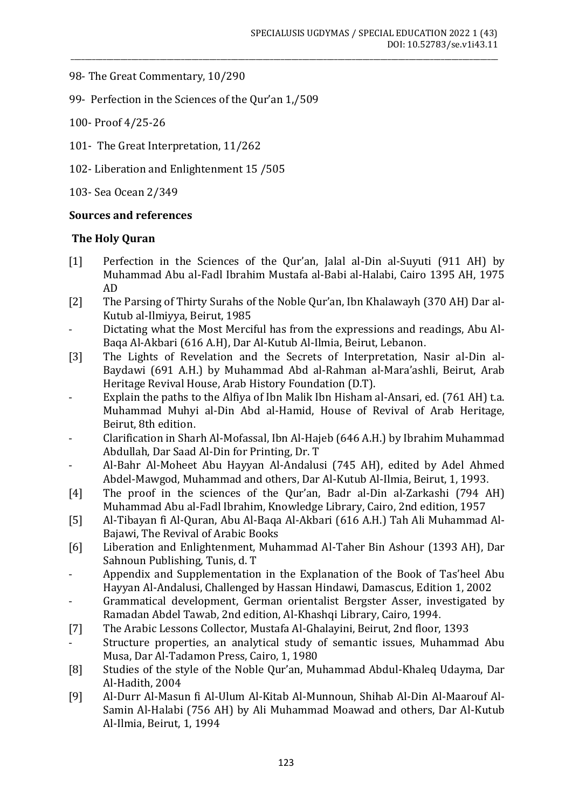- 98- The Great Commentary, 10/290
- 99- Perfection in the Sciences of the Qur'an 1,/509
- 100- Proof 4/25-26
- 101- The Great Interpretation, 11/262
- 102- Liberation and Enlightenment 15 /505

103- Sea Ocean 2/349

## **Sources and references**

## **The Holy Quran**

- [1] Perfection in the Sciences of the Qur'an, Jalal al-Din al-Suyuti (911 AH) by Muhammad Abu al-Fadl Ibrahim Mustafa al-Babi al-Halabi, Cairo 1395 AH, 1975 AD
- [2] The Parsing of Thirty Surahs of the Noble Qur'an, Ibn Khalawayh (370 AH) Dar al-Kutub al-Ilmiyya, Beirut, 1985
- Dictating what the Most Merciful has from the expressions and readings, Abu Al-Baqa Al-Akbari (616 A.H), Dar Al-Kutub Al-Ilmia, Beirut, Lebanon.
- [3] The Lights of Revelation and the Secrets of Interpretation, Nasir al-Din al-Baydawi (691 A.H.) by Muhammad Abd al-Rahman al-Mara'ashli, Beirut, Arab Heritage Revival House, Arab History Foundation (D.T).
- Explain the paths to the Alfiya of Ibn Malik Ibn Hisham al-Ansari, ed. (761 AH) t.a. Muhammad Muhyi al-Din Abd al-Hamid, House of Revival of Arab Heritage, Beirut, 8th edition.
- Clarification in Sharh Al-Mofassal, Ibn Al-Hajeb (646 A.H.) by Ibrahim Muhammad Abdullah, Dar Saad Al-Din for Printing, Dr. T
- Al-Bahr Al-Moheet Abu Hayyan Al-Andalusi (745 AH), edited by Adel Ahmed Abdel-Mawgod, Muhammad and others, Dar Al-Kutub Al-Ilmia, Beirut, 1, 1993.
- [4] The proof in the sciences of the Qur'an, Badr al-Din al-Zarkashi (794 AH) Muhammad Abu al-Fadl Ibrahim, Knowledge Library, Cairo, 2nd edition, 1957
- [5] Al-Tibayan fi Al-Quran, Abu Al-Baqa Al-Akbari (616 A.H.) Tah Ali Muhammad Al-Bajawi, The Revival of Arabic Books
- [6] Liberation and Enlightenment, Muhammad Al-Taher Bin Ashour (1393 AH), Dar Sahnoun Publishing, Tunis, d. T
- Appendix and Supplementation in the Explanation of the Book of Tas'heel Abu Hayyan Al-Andalusi, Challenged by Hassan Hindawi, Damascus, Edition 1, 2002
- Grammatical development, German orientalist Bergster Asser, investigated by Ramadan Abdel Tawab, 2nd edition, Al-Khashqi Library, Cairo, 1994.
- [7] The Arabic Lessons Collector, Mustafa Al-Ghalayini, Beirut, 2nd floor, 1393
- Structure properties, an analytical study of semantic issues, Muhammad Abu Musa, Dar Al-Tadamon Press, Cairo, 1, 1980
- [8] Studies of the style of the Noble Qur'an, Muhammad Abdul-Khaleq Udayma, Dar Al-Hadith, 2004
- [9] Al-Durr Al-Masun fi Al-Ulum Al-Kitab Al-Munnoun, Shihab Al-Din Al-Maarouf Al-Samin Al-Halabi (756 AH) by Ali Muhammad Moawad and others, Dar Al-Kutub Al-Ilmia, Beirut, 1, 1994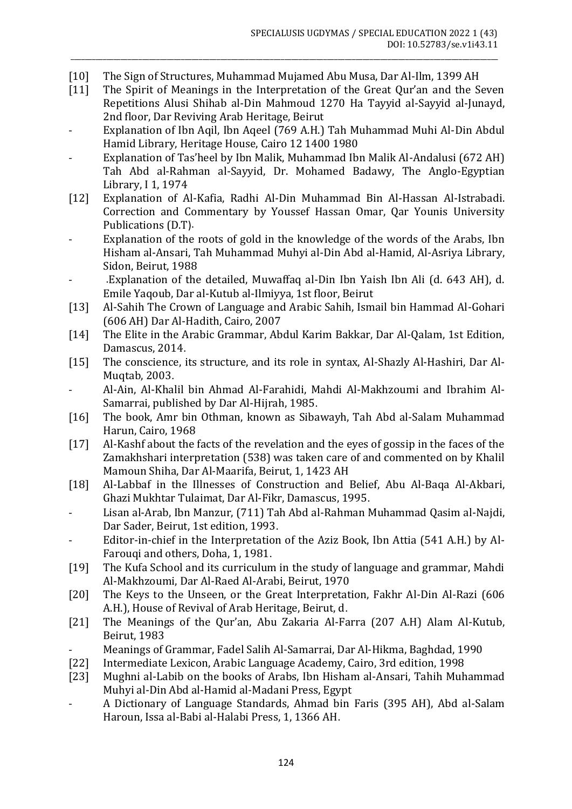[10] The Sign of Structures, Muhammad Mujamed Abu Musa, Dar Al-Ilm, 1399 AH

\_\_\_\_\_\_\_\_\_\_\_\_\_\_\_\_\_\_\_\_\_\_\_\_\_\_\_\_\_\_\_\_\_\_\_\_\_\_\_\_\_\_\_\_\_\_\_\_\_\_\_\_\_\_\_\_\_\_\_\_\_\_\_\_\_\_\_\_\_\_\_\_\_\_\_\_\_\_\_\_\_\_\_\_\_\_\_\_\_\_\_\_\_\_\_\_\_\_\_\_\_\_\_\_\_\_\_\_\_\_\_\_\_\_\_\_\_\_\_\_

- [11] The Spirit of Meanings in the Interpretation of the Great Qur'an and the Seven Repetitions Alusi Shihab al-Din Mahmoud 1270 Ha Tayyid al-Sayyid al-Junayd, 2nd floor, Dar Reviving Arab Heritage, Beirut
- Explanation of Ibn Aqil, Ibn Aqeel (769 A.H.) Tah Muhammad Muhi Al-Din Abdul Hamid Library, Heritage House, Cairo 12 1400 1980
- Explanation of Tas'heel by Ibn Malik, Muhammad Ibn Malik Al-Andalusi (672 AH) Tah Abd al-Rahman al-Sayyid, Dr. Mohamed Badawy, The Anglo-Egyptian Library, I 1, 1974
- [12] Explanation of Al-Kafia, Radhi Al-Din Muhammad Bin Al-Hassan Al-Istrabadi. Correction and Commentary by Youssef Hassan Omar, Qar Younis University Publications (D.T).
- Explanation of the roots of gold in the knowledge of the words of the Arabs, Ibn Hisham al-Ansari, Tah Muhammad Muhyi al-Din Abd al-Hamid, Al-Asriya Library, Sidon, Beirut, 1988
- .Explanation of the detailed, Muwaffaq al-Din Ibn Yaish Ibn Ali (d. 643 AH), d. Emile Yaqoub, Dar al-Kutub al-Ilmiyya, 1st floor, Beirut
- [13] Al-Sahih The Crown of Language and Arabic Sahih, Ismail bin Hammad Al-Gohari (606 AH) Dar Al-Hadith, Cairo, 2007
- [14] The Elite in the Arabic Grammar, Abdul Karim Bakkar, Dar Al-Qalam, 1st Edition, Damascus, 2014.
- [15] The conscience, its structure, and its role in syntax, Al-Shazly Al-Hashiri, Dar Al-Muqtab, 2003.
- Al-Ain, Al-Khalil bin Ahmad Al-Farahidi, Mahdi Al-Makhzoumi and Ibrahim Al-Samarrai, published by Dar Al-Hijrah, 1985.
- [16] The book, Amr bin Othman, known as Sibawayh, Tah Abd al-Salam Muhammad Harun, Cairo, 1968
- [17] Al-Kashf about the facts of the revelation and the eyes of gossip in the faces of the Zamakhshari interpretation (538) was taken care of and commented on by Khalil Mamoun Shiha, Dar Al-Maarifa, Beirut, 1, 1423 AH
- [18] Al-Labbaf in the Illnesses of Construction and Belief, Abu Al-Baqa Al-Akbari, Ghazi Mukhtar Tulaimat, Dar Al-Fikr, Damascus, 1995.
- Lisan al-Arab, Ibn Manzur, (711) Tah Abd al-Rahman Muhammad Qasim al-Najdi, Dar Sader, Beirut, 1st edition, 1993.
- Editor-in-chief in the Interpretation of the Aziz Book, Ibn Attia (541 A.H.) by Al-Farouqi and others, Doha, 1, 1981.
- [19] The Kufa School and its curriculum in the study of language and grammar, Mahdi Al-Makhzoumi, Dar Al-Raed Al-Arabi, Beirut, 1970
- [20] The Keys to the Unseen, or the Great Interpretation, Fakhr Al-Din Al-Razi (606 A.H.), House of Revival of Arab Heritage, Beirut, d.
- [21] The Meanings of the Qur'an, Abu Zakaria Al-Farra (207 A.H) Alam Al-Kutub, Beirut, 1983
- Meanings of Grammar, Fadel Salih Al-Samarrai, Dar Al-Hikma, Baghdad, 1990
- [22] Intermediate Lexicon, Arabic Language Academy, Cairo, 3rd edition, 1998
- [23] Mughni al-Labib on the books of Arabs, Ibn Hisham al-Ansari, Tahih Muhammad Muhyi al-Din Abd al-Hamid al-Madani Press, Egypt
- A Dictionary of Language Standards, Ahmad bin Faris (395 AH), Abd al-Salam Haroun, Issa al-Babi al-Halabi Press, 1, 1366 AH.